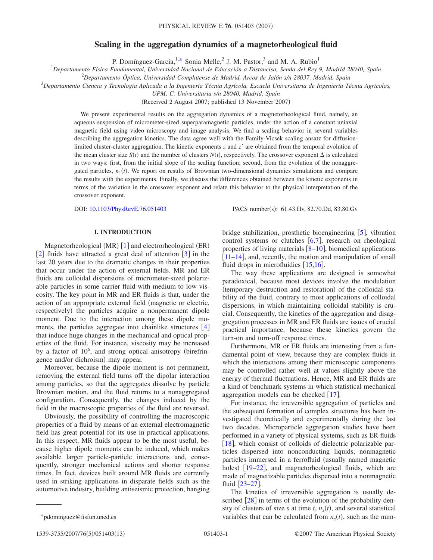# **Scaling in the aggregation dynamics of a magnetorheological fluid**

P. Domínguez-García,  $1, *$  Sonia Melle, <sup>2</sup> J. M. Pastor,<sup>3</sup> and M. A. Rubio<sup>1</sup>

1 *Departamento Física Fundamental, Universidad Nacional de Educación a Distancisa, Senda del Rey 9, Madrid 28040, Spain*

2 *Departamento Óptica, Universidad Complutense de Madrid, Arcos de Jalón s/n 28037, Madrid, Spain*

3 *Departamento Ciencia y Tecnología Aplicada a la Ingeniería Técnia Agrícola, Escuela Universitaria de Ingeniería Técnia Agrícolas,*

*UPM, C. Universitaria s/n 28040, Madrid, Spain*

(Received 2 August 2007; published 13 November 2007)

We present experimental results on the aggregation dynamics of a magnetorheological fluid, namely, an aqueous suspension of micrometer-sized superparamagnetic particles, under the action of a constant uniaxial magnetic field using video microscopy and image analysis. We find a scaling behavior in several variables describing the aggregation kinetics. The data agree well with the Family-Vicsek scaling ansatz for diffusionlimited cluster-cluster aggregation. The kinetic exponents *z* and *z'* are obtained from the temporal evolution of the mean cluster size  $S(t)$  and the number of clusters  $N(t)$ , respectively. The crossover exponent  $\Delta$  is calculated in two ways: first, from the initial slope of the scaling function; second, from the evolution of the nonaggregated particles,  $n_1(t)$ . We report on results of Brownian two-dimensional dynamics simulations and compare the results with the experiments. Finally, we discuss the differences obtained between the kinetic exponents in terms of the variation in the crossover exponent and relate this behavior to the physical interpretation of the crossover exponent.

DOI: [10.1103/PhysRevE.76.051403](http://dx.doi.org/10.1103/PhysRevE.76.051403)

PACS number(s): 61.43.Hv, 82.70.Dd, 83.80.Gv

# **I. INTRODUCTION**

Magnetorheological (MR) [[1](#page-12-0)] and electrorheological (ER)  $\lceil 2 \rceil$  $\lceil 2 \rceil$  $\lceil 2 \rceil$  fluids have attracted a great deal of attention  $\lceil 3 \rceil$  $\lceil 3 \rceil$  $\lceil 3 \rceil$  in the last 20 years due to the dramatic changes in their properties that occur under the action of external fields. MR and ER fluids are colloidal dispersions of micrometer-sized polarizable particles in some carrier fluid with medium to low viscosity. The key point in MR and ER fluids is that, under the action of an appropriate external field (magnetic or electric, respectively) the particles acquire a nonpermanent dipole moment. Due to the interaction among these dipole moments, the particles aggregate into chainlike structures  $[4]$  $[4]$  $[4]$ that induce huge changes in the mechanical and optical properties of the fluid. For instance, viscosity may be increased by a factor of  $10^6$ , and strong optical anisotropy (birefringence and/or dichroism) may appear.

Moreover, because the dipole moment is not permanent, removing the external field turns off the dipolar interaction among particles, so that the aggregates dissolve by particle Brownian motion, and the fluid returns to a nonaggregated configuration. Consequently, the changes induced by the field in the macroscopic properties of the fluid are reversed.

Obviously, the possibility of controlling the macroscopic properties of a fluid by means of an external electromagnetic field has great potential for its use in practical applications. In this respect, MR fluids appear to be the most useful, because higher dipole moments can be induced, which makes available larger particle-particle interactions and, consequently, stronger mechanical actions and shorter response times. In fact, devices built around MR fluids are currently used in striking applications in disparate fields such as the automotive industry, building antiseismic protection, hanging bridge stabilization, prosthetic bioengineering  $[5]$  $[5]$  $[5]$ , vibration control systems or clutches  $[6,7]$  $[6,7]$  $[6,7]$  $[6,7]$ , research on rheological properties of living materials  $[8-10]$  $[8-10]$  $[8-10]$ , biomedical applications [[11](#page-12-9)[–14](#page-12-10)], and, recently, the motion and manipulation of small fluid drops in microfluidics  $[15,16]$  $[15,16]$  $[15,16]$  $[15,16]$ .

The way these applications are designed is somewhat paradoxical, because most devices involve the modulation (temporary destruction and restoration) of the colloidal stability of the fluid, contrary to most applications of colloidal dispersions, in which maintaining colloidal stability is crucial. Consequently, the kinetics of the aggregation and disaggregation processes in MR and ER fluids are issues of crucial practical importance, because these kinetics govern the turn-on and turn-off response times.

Furthermore, MR or ER fluids are interesting from a fundamental point of view, because they are complex fluids in which the interactions among their microscopic components may be controlled rather well at values slightly above the energy of thermal fluctuations. Hence, MR and ER fluids are a kind of benchmark systems in which statistical mechanical aggregation models can be checked  $\lceil 17 \rceil$  $\lceil 17 \rceil$  $\lceil 17 \rceil$ .

For instance, the irreversible aggregation of particles and the subsequent formation of complex structures has been investigated theoretically and experimentally during the last two decades. Microparticle aggregation studies have been performed in a variety of physical systems, such as ER fluids [[18](#page-12-14)], which consist of colloids of dielectric polarizable particles dispersed into nonconducting liquids, nonmagnetic particles immersed in a ferrofluid (usually named magnetic holes) [[19–](#page-12-15)[22](#page-12-16)], and magnetorheological fluids, which are made of magnetizable particles dispersed into a nonmagnetic fluid  $[23-27]$  $[23-27]$  $[23-27]$ .

The kinetics of irreversible aggregation is usually described  $\lceil 28 \rceil$  $\lceil 28 \rceil$  $\lceil 28 \rceil$  in terms of the evolution of the probability density of clusters of size *s* at time *t*,  $n<sub>s</sub>(t)$ , and several statistical \*pdominguez@fisfun.uned.es variables that can be calculated from  $n<sub>s</sub>(t)$ , such as the num-

<span id="page-0-0"></span>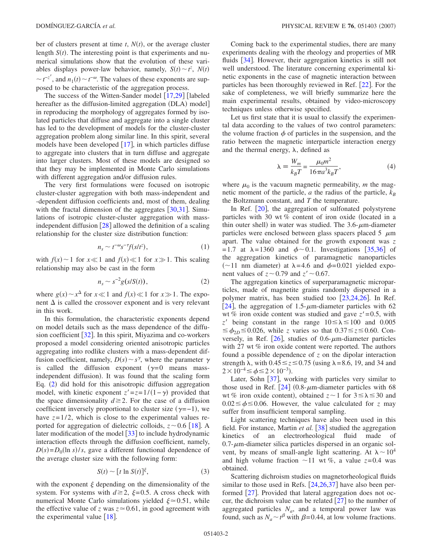ber of clusters present at time  $t$ ,  $N(t)$ , or the average cluster length  $S(t)$ . The interesting point is that experiments and numerical simulations show that the evolution of these variables displays power-law behavior, namely,  $S(t) \sim t^z$ ,  $N(t)$  $\sim t^{-z'}$ , and  $n_1(t) \sim t^{-\omega}$ . The values of these exponents are supposed to be characteristic of the aggregation process.

The success of the Witten-Sander model  $[17,29]$  $[17,29]$  $[17,29]$  $[17,29]$  [labeled hereafter as the diffusion-limited aggregation (DLA) model] in reproducing the morphology of aggregates formed by isolated particles that diffuse and aggregate into a single cluster has led to the development of models for the cluster-cluster aggregation problem along similar line. In this spirit, several models have been developed  $\lceil 17 \rceil$  $\lceil 17 \rceil$  $\lceil 17 \rceil$ , in which particles diffuse to aggregate into clusters that in turn diffuse and aggregate into larger clusters. Most of these models are designed so that they may be implemented in Monte Carlo simulations with different aggregation and/or diffusion rules.

The very first formulations were focused on isotropic cluster-cluster aggregation with both mass-independent and -dependent diffusion coefficients and, most of them, dealing with the fractal dimension of the aggregates  $\left[30,31\right]$  $\left[30,31\right]$  $\left[30,31\right]$  $\left[30,31\right]$ . Simulations of isotropic cluster-cluster aggregation with massindependent diffusion  $[28]$  $[28]$  $[28]$  allowed the definition of a scaling relationship for the cluster size distribution function:

$$
n_s \sim t^{-\omega} s^{-\tau} f(s/t^z), \qquad (1)
$$

<span id="page-1-1"></span>with  $f(x) \sim 1$  for  $x \ll 1$  and  $f(x) \ll 1$  for  $x \gg 1$ . This scaling relationship may also be cast in the form

$$
n_s \sim s^{-2} g(s/S(t)),\tag{2}
$$

<span id="page-1-0"></span>where  $g(x) \sim x^{\Delta}$  for  $x \ll 1$  and  $f(x) \ll 1$  for  $x \gg 1$ . The exponent  $\Delta$  is called the crossover exponent and is very relevant in this work.

In this formulation, the characteristic exponents depend on model details such as the mass dependence of the diffusion coefficient  $\lceil 32 \rceil$  $\lceil 32 \rceil$  $\lceil 32 \rceil$ . In this spirit, Miyazima and co-workers proposed a model considering oriented anisotropic particles aggregating into rodlike clusters with a mass-dependent diffusion coefficient, namely,  $D(s) \sim s^{\gamma}$ , where the parameter  $\gamma$ is called the diffusion exponent  $(\gamma=0$  means massindependent diffusion). It was found that the scaling form Eq. ([2](#page-1-0)) did hold for this anisotropic diffusion aggregation model, with kinetic exponent  $z' = z = 1/(1 - \gamma)$  provided that the space dimensionality  $d \ge 2$ . For the case of a diffusion coefficient inversely proportional to cluster size  $(\gamma = -1)$ , we have  $z=1/2$ , which is close to the experimental values reported for aggregation of dielectric colloids,  $z \sim 0.6$  [[18](#page-12-14)]. A later modification of the model  $\left[33\right]$  $\left[33\right]$  $\left[33\right]$  to include hydrodynamic interaction effects through the diffusion coefficient, namely,  $D(s) = D_0(\ln s) / s$ , gave a different functional dependence of the average cluster size with the following form:

$$
S(t) \sim [t \ln S(t)]^{\xi}, \tag{3}
$$

<span id="page-1-3"></span>with the exponent  $\xi$  depending on the dimensionality of the system. For systems with  $d \ge 2$ ,  $\xi = 0.5$ . A cross check with numerical Monte Carlo simulations yielded  $\xi \approx 0.51$ , while the effective value of *z* was  $z \approx 0.61$ , in good agreement with the experimental value  $[18]$  $[18]$  $[18]$ .

Coming back to the experimental studies, there are many experiments dealing with the rheology and properties of MR fluids [[34](#page-12-25)]. However, their aggregation kinetics is still not well understood. The literature concerning experimental kinetic exponents in the case of magnetic interaction between particles has been thoroughly reviewed in Ref.  $[22]$  $[22]$  $[22]$ . For the sake of completeness, we will briefly summarize here the main experimental results, obtained by video-microscopy techniques unless otherwise specified.

Let us first state that it is usual to classify the experimental data according to the values of two control parameters: the volume fraction  $\phi$  of particles in the suspension, and the ratio between the magnetic interparticle interaction energy and the thermal energy,  $\lambda$ , defined as

$$
\lambda = \frac{W_m}{k_B T} = \frac{\mu_0 m^2}{16 \pi a^3 k_B T},
$$
\n(4)

<span id="page-1-2"></span>where  $\mu_0$  is the vacuum magnetic permeability, *m* the magnetic moment of the particle, *a* the radius of the particle,  $k_B$ the Boltzmann constant, and *T* the temperature.

In Ref.  $[20]$  $[20]$  $[20]$ , the aggregation of sulfonated polystyrene particles with 30 wt % content of iron oxide (located in a thin outer shell) in water was studied. The  $3.6$ - $\mu$ m-diameter particles were enclosed between glass spacers placed 5  $\mu$ m apart. The value obtained for the growth exponent was *z* =1.7 at  $\lambda$ =1360 and  $\phi \sim 0.1$ . Investigations [[35](#page-12-27)[,36](#page-12-28)] of the aggregation kinetics of paramagnetic nanoparticles (~11 nm diameter) at  $\lambda$ =4.6 and  $\phi$ =0.021 yielded exponent values of  $z \sim 0.79$  and  $z' \sim 0.67$ .

The aggregation kinetics of superparamagnetic microparticles, made of magnetite grains randomly dispersed in a polymer matrix, has been studied too  $[23,24,26]$  $[23,24,26]$  $[23,24,26]$  $[23,24,26]$  $[23,24,26]$ . In Ref. [[24](#page-12-29)], the aggregation of 1.5- $\mu$ m-diameter particles with 62 wt % iron oxide content was studied and gave  $z' = 0.5$ , with z' being constant in the range  $10 \le \lambda \le 100$  and 0.005  $\leq \phi_{2D} \leq 0.026$ , while *z* varies so that  $0.37 \leq z \leq 0.60$ . Conversely, in Ref.  $[26]$  $[26]$  $[26]$ , studies of 0.6- $\mu$ m-diameter particles with 27 wt % iron oxide content were reported. The authors found a possible dependence of *z* on the dipolar interaction strength  $\lambda$ , with  $0.45 \le z \le 0.75$  (using  $\lambda = 8.6$ , 19, and 34 and  $2 \times 10^{-4} \leq \phi \leq 2 \times 10^{-3}$ ).

Later, Sohn  $\lceil 37 \rceil$  $\lceil 37 \rceil$  $\lceil 37 \rceil$ , working with particles very similar to those used in Ref.  $[24]$  $[24]$  $[24]$  (0.8- $\mu$ m-diameter particles with 68 wt % iron oxide content), obtained  $z \sim 1$  for  $3 \le \lambda \le 30$  and  $0.02 \le \phi \le 0.06$ . However, the value calculated for *z* may suffer from insufficient temporal sampling.

Light scattering techniques have also been used in this field. For instance, Martin *et al.* [[38](#page-12-32)] studied the aggregation kinetics of an electrorheological fluid made of  $0.7$ - $\mu$ m-diameter silica particles dispersed in an organic solvent, by means of small-angle light scattering. At  $\lambda \sim 10^4$ and high volume fraction  $\sim$ 11 wt %, a value  $z=0.4$  was obtained.

Scattering dichroism studies on magnetorheological fluids similar to those used in Refs.  $[24,26,37]$  $[24,26,37]$  $[24,26,37]$  $[24,26,37]$  $[24,26,37]$  have also been performed  $\lceil 27 \rceil$  $\lceil 27 \rceil$  $\lceil 27 \rceil$ . Provided that lateral aggregation does not occur, the dichroism value can be related  $[27]$  $[27]$  $[27]$  to the number of aggregated particles  $N_a$ , and a temporal power law was found, such as  $N_a \sim t^{\beta}$  with  $\beta = 0.44$ , at low volume fractions.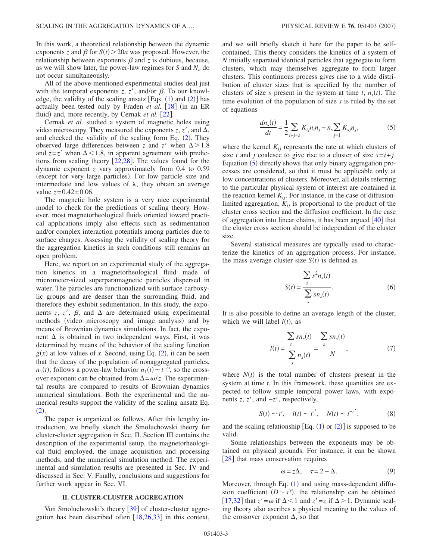In this work, a theoretical relationship between the dynamic exponents *z* and  $\beta$  for  $S(t) > 20a$  was proposed. However, the relationship between exponents  $\beta$  and  $\zeta$  is dubious, because, as we will show later, the power-law regimes for *S* and  $N_a$  do not occur simultaneously.

All of the above-mentioned experimental studies deal just with the temporal exponents  $z, z'$ , and/or  $\beta$ . To our knowledge, the validity of the scaling ansatz  $[Eqs. (1)$  $[Eqs. (1)$  $[Eqs. (1)$  and  $(2)]$  $(2)]$  $(2)]$  has actually been tested only by Fraden *et al.* [[18](#page-12-14)] (in an ER fluid) and, more recently, by Cernak et al. [[22](#page-12-16)].

Cernak *et al.* studied a system of magnetic holes using video microscopy. They measured the exponents  $z, z'$ , and  $\Delta$ , and checked the validity of the scaling form Eq.  $(2)$  $(2)$  $(2)$ . They observed large differences between *z* and *z'* when  $\Delta > 1.8$ and  $z=z'$  when  $\Delta < 1.8$ , in apparent agreement with predictions from scaling theory  $[22,28]$  $[22,28]$  $[22,28]$  $[22,28]$ . The values found for the dynamic exponent *z* vary approximately from 0.4 to 0.59 (except for very large particles). For low particle size and intermediate and low values of  $\lambda$ , they obtain an average value  $z = 0.42 \pm 0.06$ .

The magnetic hole system is a very nice experimental model to check for the predictions of scaling theory. However, most magnetorheological fluids oriented toward practical applications imply also effects such as sedimentation and/or complex interaction potentials among particles due to surface charges. Assessing the validity of scaling theory for the aggregation kinetics in such conditions still remains an open problem.

Here, we report on an experimental study of the aggregation kinetics in a magnetorheological fluid made of micrometer-sized superparamagnetic particles dispersed in water. The particles are functionalized with surface carboxylic groups and are denser than the surrounding fluid, and therefore they exhibit sedimentation. In this study, the exponents *z*, *z'*,  $\beta$ , and  $\Delta$  are determined using experimental methods (video microscopy and image analysis) and by means of Brownian dynamics simulations. In fact, the exponent  $\Delta$  is obtained in two independent ways. First, it was determined by means of the behavior of the scaling function  $g(x)$  at low values of *x*. Second, using Eq. ([2](#page-1-0)), it can be seen that the decay of the population of nonaggregated particles,  $n_1(t)$ , follows a power-law behavior  $n_1(t) \sim t^{-\omega}$ , so the crossover exponent can be obtained from  $\Delta = \omega/z$ . The experimental results are compared to results of Brownian dynamics numerical simulations. Both the experimental and the numerical results support the validity of the scaling ansatz Eq.  $(2).$  $(2).$  $(2).$ 

The paper is organized as follows. After this lengthy introduction, we briefly sketch the Smoluchowski theory for cluster-cluster aggregation in Sec. II. Section III contains the description of the experimental setup, the magnetorheological fluid employed, the image acquisition and processing methods, and the numerical simulation method. The experimental and simulation results are presented in Sec. IV and discussed in Sec. V. Finally, conclusions and suggestions for further work appear in Sec. VI.

### **II. CLUSTER-CLUSTER AGGREGATION**

Von Smoluchowski's theory  $\left[39\right]$  $\left[39\right]$  $\left[39\right]$  of cluster-cluster aggregation has been described often  $[18,26,33]$  $[18,26,33]$  $[18,26,33]$  $[18,26,33]$  $[18,26,33]$  in this context, and we will briefly sketch it here for the paper to be selfcontained. This theory considers the kinetics of a system of *N* initially separated identical particles that aggregate to form clusters, which may themselves aggregate to form larger clusters. This continuous process gives rise to a wide distribution of cluster sizes that is specified by the number of clusters of size *s* present in the system at time  $t$ ,  $n<sub>s</sub>(t)$ . The time evolution of the population of size *s* is ruled by the set of equations

$$
\frac{dn_s(t)}{dt} = \frac{1}{2} \sum_{i+j=s} K_{ij} n_i n_j - n_s \sum_{j=1} K_{sj} n_j,
$$
 (5)

<span id="page-2-0"></span>where the kernel  $K_{ii}$  represents the rate at which clusters of size *i* and *j* coalesce to give rise to a cluster of size  $s=i+j$ . Equation ([5](#page-2-0)) directly shows that only binary aggregation processes are considered, so that it must be applicable only at low concentrations of clusters. Moreover, all details referring to the particular physical system of interest are contained in the reaction kernel  $K_{ij}$ . For instance, in the case of diffusionlimited aggregation,  $K_{ij}$  is proportional to the product of the cluster cross section and the diffusion coefficient. In the case of aggregation into linear chains, it has been argued  $\left[40\right]$  $\left[40\right]$  $\left[40\right]$  that the cluster cross section should be independent of the cluster size.

Several statistical measures are typically used to characterize the kinetics of an aggregation process. For instance, the mass average cluster size  $S(t)$  is defined as

$$
S(t) = \frac{\sum_{s} s^2 n_s(t)}{\sum_{s} s n_s(t)}.
$$
 (6)

It is also possible to define an average length of the cluster, which we will label  $l(t)$ , as

$$
l(t) = \frac{\sum_{s} sn_s(t)}{\sum_{s} n_s(t)} = \frac{\sum_{s} sn_s(t)}{N},
$$
\n(7)

where  $N(t)$  is the total number of clusters present in the system at time *t*. In this framework, these quantities are expected to follow simple temporal power laws, with exponents *z*, *z'*, and  $-z'$ , respectively,

$$
S(t) \sim t^z, \quad l(t) \sim t^{z'}, \quad N(t) \sim t^{-z'}, \tag{8}
$$

and the scaling relationship  $[Eq. (1)$  $[Eq. (1)$  $[Eq. (1)$  or  $(2)]$  $(2)]$  $(2)]$  is supposed to be valid.

Some relationships between the exponents may be obtained on physical grounds. For instance, it can be shown [[28](#page-12-19)] that mass conservation requires

$$
\omega = z\Delta, \quad \tau = 2 - \Delta. \tag{9}
$$

Moreover, through Eq.  $(1)$  $(1)$  $(1)$  and using mass-dependent diffusion coefficient  $(D \sim s^{\gamma})$ , the relationship can be obtained [[17](#page-12-13)[,32](#page-12-23)] that  $z' = \omega$  if  $\Delta < 1$  and  $z' = z$  if  $\Delta > 1$ . Dynamic scaling theory also ascribes a physical meaning to the values of the crossover exponent  $\Delta$ , so that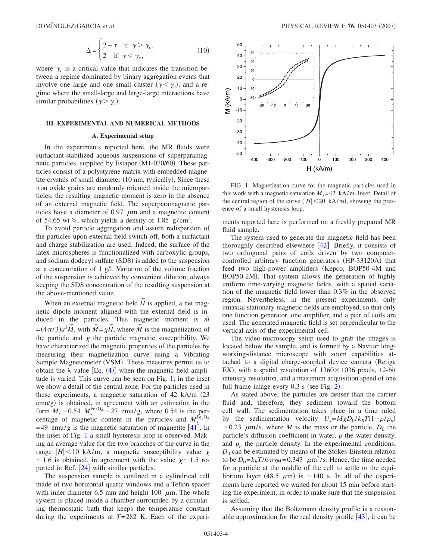$$
\Delta = \begin{cases} 2 - \tau & \text{if } \gamma > \gamma_c, \\ 2 & \text{if } \gamma < \gamma_c, \end{cases}
$$
 (10)

<span id="page-3-1"></span>where  $\gamma_c$  is a critical value that indicates the transition between a regime dominated by binary aggregation events that involve one large and one small cluster  $(\gamma \langle \gamma_c \rangle)$ , and a regime where the small-large and large-large interactions have similar probabilities  $(\gamma > \gamma_c)$ .

## **III. EXPERIMENTAL AND NUMERICAL METHODS**

### **A. Experimental setup**

In the experiments reported here, the MR fluids were surfactant-stabilized aqueous suspensions of superparamagnetic particles, supplied by Estapor (M1-070/60). These particles consist of a polystyrene matrix with embedded magnetite crystals of small diameter (10 nm, typically). Since these iron oxide grains are randomly oriented inside the microparticles, the resulting magnetic moment is zero in the absence of an external magnetic field. The superparamagnetic particles have a diameter of  $0.97 \mu m$  and a magnetite content of 54.65 wt %, which yields a density of 1.85  $g/cm<sup>3</sup>$ .

To avoid particle aggregation and assure redispersion of the particles upon external field switch-off, both a surfactant and charge stabilization are used. Indeed, the surface of the latex microspheres is functionalized with carboxylic groups, and sodium dodecyl sulfate (SDS) is added to the suspension at a concentration of 1 g/l. Variation of the volume fraction of the suspension is achieved by convenient dilution, always keeping the SDS concentration of the resulting suspension at the above-mentioned value.

When an external magnetic field  $H$  is applied, a net magnetic dipole moment aligned with the external field is induced in the particles. This magnetic moment is *m*  $=(4\pi/3)a^3\vec{M}$ , with  $\vec{M} = \chi\vec{H}$ , where  $\vec{M}$  is the magnetization of the particle and  $\chi$  the particle magnetic susceptibility. We have characterized the magnetic properties of the particles by measuring their magnetization curve using a Vibrating Sample Magnetometer (VSM). These measures permit us to obtain the  $\lambda$  value [Eq. ([4](#page-1-2))] when the magnetic field amplitude is varied. This curve can be seen on Fig. [1;](#page-3-0) in the inset we show a detail of the central zone. For the particles used in these experiments, a magnetic saturation of  $42 \text{ kA/m}$  (23) emu/g) is obtained, in agreement with an estimation in the form  $M_s \sim 0.54$   $M_s^{\text{Fe}_3\text{O}_4} \sim 27$  emu/g, where 0.54 is the percentage of magnetic content in the particles and  $M_s^{\text{Fe}_3\text{O}_4}$  $=$  49 emu/g is the magnetic saturation of magnetite  $[41]$  $[41]$  $[41]$ . In the inset of Fig. [1](#page-3-0) a small hysteresis loop is observed. Making an average value for the two branches of the curve in the range  $|H|$  < 10 kA/m, a magnetic susceptibility value  $\chi$  $\sim$  1.6 is obtained, in agreement with the value  $\chi$   $\sim$  1.5 reported in Ref.  $\lceil 24 \rceil$  $\lceil 24 \rceil$  $\lceil 24 \rceil$  with similar particles.

The suspension sample is confined in a cylindrical cell made of two horizontal quartz windows and a Teflon spacer with inner diameter 6.5 mm and height 100  $\mu$ m. The whole system is placed inside a chamber surrounded by a circulating thermostatic bath that keeps the temperature constant during the experiments at *T*=282 K. Each of the experi-

<span id="page-3-0"></span>

FIG. 1. Magnetization curve for the magnetic particles used in this work with a magnetic saturation  $M_s$ =42 kA/m. Inset: Detail of the central region of the curve  $(|H| < 20 \text{ kA/m})$ , showing the presence of a small hysteresis loop.

ments reported here is performed on a freshly prepared MR fluid sample.

The system used to generate the magnetic field has been thoroughly described elsewhere  $[42]$  $[42]$  $[42]$ . Briefly, it consists of two orthogonal pairs of coils driven by two computercontrolled arbitrary function generators (HP-33120A) that feed two high-power amplifiers (Kepco, BOP50-4M and BOP50-2M). That system allows the generation of highly uniform time-varying magnetic fields, with a spatial variation of the magnetic field lower than 0.3% in the observed region. Nevertheless, in the present experiments, only uniaxial stationary magnetic fields are employed, so that only one function generator, one amplifier, and a pair of coils are used. The generated magnetic field is set perpendicular to the vertical axis of the experimental cell.

The video-microscopy setup used to grab the images is located below the sample, and is formed by a Navitar longworking-distance microscope with zoom capabilities attached to a digital charge-coupled device camera (Retiga EX), with a spatial resolution of  $1360 \times 1036$  pixels, 12-bit intensity resolution, and a maximum acquisition speed of one full frame image every  $0.3$  s (see Fig. [2](#page-4-0)).

As stated above, the particles are denser than the carrier fluid and, therefore, they sediment toward the bottom cell wall. The sedimentation takes place in a time ruled by the sedimentation velocity  $U_s = M g D_0 / k_B T (1 - \rho / \rho_p)$  $\sim$  0.23  $\mu$ m/s, where *M* is the mass or the particle, *D*<sub>0</sub> the particle's diffusion coefficient in water,  $\rho$  the water density, and  $\rho_p$  the particle density. In the experimental conditions,  $D_0$  can be estimated by means of the Stokes-Einstein relation to be  $D_0 = k_B T / 6 \pi \eta a = 0.343 \mu m^2 / s$ . Hence, the time needed for a particle at the middle of the cell to settle to the equilibrium layer (48.5  $\mu$ m) is ~140 s. In all of the experiments here reported we waited for about 15 min before starting the experiment, in order to make sure that the suspension is settled.

Assuming that the Boltzmann density profile is a reasonable approximation for the real density profile  $[43]$  $[43]$  $[43]$ , it can be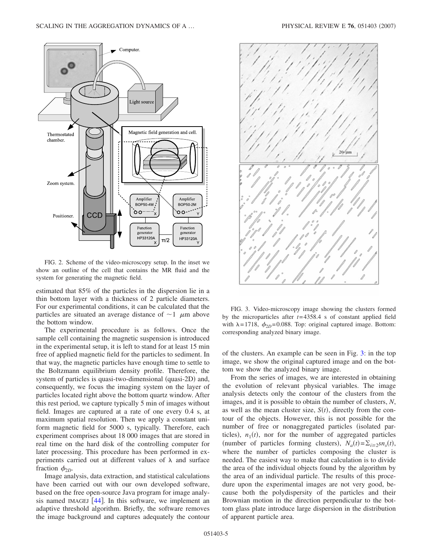<span id="page-4-0"></span>

FIG. 2. Scheme of the video-microscopy setup. In the inset we show an outline of the cell that contains the MR fluid and the system for generating the magnetic field.

estimated that 85% of the particles in the dispersion lie in a thin bottom layer with a thickness of 2 particle diameters. For our experimental conditions, it can be calculated that the particles are situated an average distance of  $\sim$ 1  $\mu$ m above the bottom window.

The experimental procedure is as follows. Once the sample cell containing the magnetic suspension is introduced in the experimental setup, it is left to stand for at least 15 min free of applied magnetic field for the particles to sediment. In that way, the magnetic particles have enough time to settle to the Boltzmann equilibrium density profile. Therefore, the system of particles is quasi-two-dimensional (quasi-2D) and, consequently, we focus the imaging system on the layer of particles located right above the bottom quartz window. After this rest period, we capture typically 5 min of images without field. Images are captured at a rate of one every 0.4 s, at maximum spatial resolution. Then we apply a constant uniform magnetic field for 5000 s, typically. Therefore, each experiment comprises about 18 000 images that are stored in real time on the hard disk of the controlling computer for later processing. This procedure has been performed in experiments carried out at different values of  $\lambda$  and surface fraction  $\phi_{2D}$ .

Image analysis, data extraction, and statistical calculations have been carried out with our own developed software, based on the free open-source Java program for image analysis named IMAGEJ  $[44]$  $[44]$  $[44]$ . In this software, we implement an adaptive threshold algorithm. Briefly, the software removes the image background and captures adequately the contour

<span id="page-4-1"></span>

FIG. 3. Video-microscopy image showing the clusters formed by the microparticles after *t*=4358.4 s of constant applied field with  $\lambda = 1718$ ,  $\phi_{2D} = 0.088$ . Top: original captured image. Bottom: corresponding analyzed binary image.

of the clusters. An example can be seen in Fig. [3:](#page-4-1) in the top image, we show the original captured image and on the bottom we show the analyzed binary image.

From the series of images, we are interested in obtaining the evolution of relevant physical variables. The image analysis detects only the contour of the clusters from the images, and it is possible to obtain the number of clusters, *N*, as well as the mean cluster size,  $S(t)$ , directly from the contour of the objects. However, this is not possible for the number of free or nonaggregated particles (isolated particles),  $n_1(t)$ , nor for the number of aggregated particles (number of particles forming clusters),  $N_a(t) = \sum_{i \ge 2} s n_s(t)$ , where the number of particles composing the cluster is needed. The easiest way to make that calculation is to divide the area of the individual objects found by the algorithm by the area of an individual particle. The results of this procedure upon the experimental images are not very good, because both the polydispersity of the particles and their Brownian motion in the direction perpendicular to the bottom glass plate introduce large dispersion in the distribution of apparent particle area.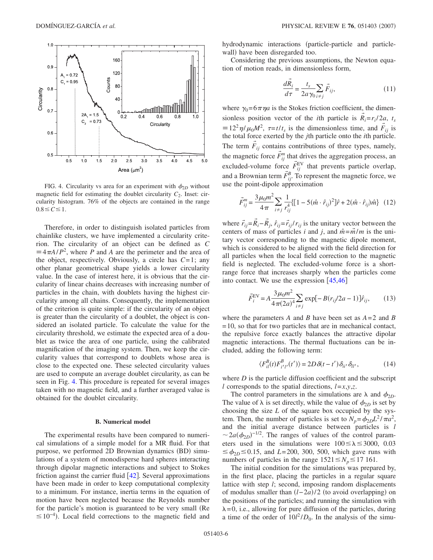<span id="page-5-0"></span>

FIG. 4. Circularity vs area for an experiment with  $\phi_{2D}$  without magnetic field for estimating the doublet circularity  $C_2$ . Inset: circularity histogram. 76% of the objects are contained in the range  $0.8 \le C \le 1$ .

Therefore, in order to distinguish isolated particles from chainlike clusters, we have implemented a circularity criterion. The circularity of an object can be defined as *C*  $\equiv$  4 $\pi$ *A*/*P*<sup>2</sup>, where *P* and *A* are the perimeter and the area of the object, respectively. Obviously, a circle has *C*=1; any other planar geometrical shape yields a lower circularity value. In the case of interest here, it is obvious that the circularity of linear chains decreases with increasing number of particles in the chain, with doublets having the highest circularity among all chains. Consequently, the implementation of the criterion is quite simple: if the circularity of an object is greater than the circularity of a doublet, the object is considered an isolated particle. To calculate the value for the circularity threshold, we estimate the expected area of a doublet as twice the area of one particle, using the calibrated magnification of the imaging system. Then, we keep the circularity values that correspond to doublets whose area is close to the expected one. These selected circularity values are used to compute an average doublet circularity, as can be seen in Fig. [4.](#page-5-0) This procedure is repeated for several images taken with no magnetic field, and a further averaged value is obtained for the doublet circularity.

#### **B. Numerical model**

The experimental results have been compared to numerical simulations of a simple model for a MR fluid. For that purpose, we performed 2D Brownian dynamics (BD) simulations of a system of monodisperse hard spheres interacting through dipolar magnetic interactions and subject to Stokes friction against the carrier fluid  $\left[42\right]$  $\left[42\right]$  $\left[42\right]$ . Several approximations have been made in order to keep computational complexity to a minimum. For instance, inertia terms in the equation of motion have been neglected because the Reynolds number for the particle's motion is guaranteed to be very small (Re  $\leq 10^{-4}$ ). Local field corrections to the magnetic field and

hydrodynamic interactions (particle-particle and particlewall) have been disregarded too.

Considering the previous assumptions, the Newton equation of motion reads, in dimensionless form,

$$
\frac{d\vec{R}_i}{d\tau} = \frac{t_s}{2a\gamma_0}\sum_{i\neq j}\vec{F}_{ij},\tag{11}
$$

where  $\gamma_0 = 6\pi \eta a$  is the Stokes friction coefficient, the dimensionless position vector of the *i*th particle is  $\vec{R}_i = r_i/2a$ ,  $t_s$  $\equiv 12^2 \eta / \mu_0 M^2$ ,  $\tau = t/t_s$  is the dimensionless time, and  $\vec{F}_{ij}$  is the total force exerted by the *j*th particle onto the *i*th particle. The term  $F_{ij}$  contains contributions of three types, namely, the magnetic force  $\vec{F}_{ij}^m$  that drives the aggregation process, an excluded-volume force  $\vec{F}_{ij}^{\text{EV}}$  that prevents particle overlap, and a Brownian term  $\vec{F}_{ij}^B$ . To represent the magnetic force, we use the point-dipole approximation

$$
\vec{F}_{ij}^m = \frac{3\mu_0 m^2}{4\pi} \sum_{i \neq j} \frac{1}{r_{ij}^4} \{ [1 - 5(\hat{m} \cdot \hat{r}_{ij})^2] \hat{r} + 2(\hat{m} \cdot \hat{r}_{ij}) \hat{m} \} \quad (12)
$$

where  $\vec{r}_{ij} = R_i - R_j$ ,  $\hat{r}_{ij} = \vec{r}_{ij} / r_{ij}$  is the unitary vector between the centers of mass of particles *i* and *j*, and  $\hat{m} = \frac{\vec{m}}{m}$  is the unitary vector corresponding to the magnetic dipole moment, which is considered to be aligned with the field direction for all particles when the local field correction to the magnetic field is neglected. The excluded-volume force is a shortrange force that increases sharply when the particles come into contact. We use the expression  $[45, 46]$  $[45, 46]$  $[45, 46]$  $[45, 46]$  $[45, 46]$ 

→

$$
\vec{F}_i^{\text{EV}} = A \frac{3\mu_0 m^2}{4\pi (2a)^4} \sum_{i \neq j} \exp[-B(r_{ij}/2a - 1)] \hat{r}_{ij}, \quad (13)
$$

where the parameters *A* and *B* have been set as  $A = 2$  and *B* =10, so that for two particles that are in mechanical contact, the repulsive force exactly balances the attractive dipolar magnetic interactions. The thermal fluctuations can be included, adding the following term:

$$
\langle F_{il}^{B}(t)F_{i'l'}^{B}(t')\rangle = 2D\delta(t-t')\delta_{ii'}\delta_{ll'},\qquad(14)
$$

where *D* is the particle diffusion coefficient and the subscript *l* corresponds to the spatial directions, *l*=*x*,*y*,*z*.

The control parameters in the simulations are  $\lambda$  and  $\phi_{2D}$ . The value of  $\lambda$  is set directly, while the value of  $\phi_{2D}$  is set by choosing the size *L* of the square box occupied by the system. Then, the number of particles is set to  $N_p = \phi_{2D} L^2 / \pi a^2$ , and the initial average distance between particles is *l*  $\sim$  2*a*( $\phi_{2D}$ )<sup>-1/2</sup>. The ranges of values of the control parameters used in the simulations were  $100 \le \lambda \le 3000$ , 0.03  $\leq \phi_{2D} \leq 0.15$ , and *L*=200, 300, 500, which gave runs with numbers of particles in the range  $1521 \le N_p \le 17$  161.

The initial condition for the simulations was prepared by, in the first place, placing the particles in a regular square lattice with step *l*; second, imposing random displacements of modulus smaller than  $(l-2a)/2$  (to avoid overlapping) on the positions of the particles; and running the simulation with  $\lambda = 0$ , i.e., allowing for pure diffusion of the particles, during a time of the order of  $10l^2/D_0$ . In the analysis of the simu-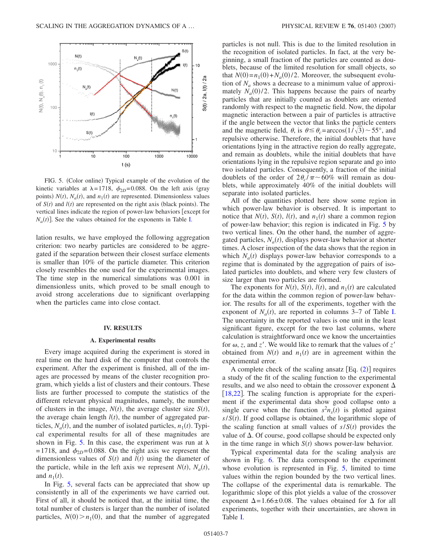<span id="page-6-0"></span>

FIG. 5. (Color online) Typical example of the evolution of the kinetic variables at  $\lambda = 1718$ ,  $\phi_{2D} = 0.088$ . On the left axis (gray points)  $N(t)$ ,  $N_a(t)$ , and  $n_1(t)$  are represented. Dimensionless values of  $S(t)$  and  $l(t)$  are represented on the right axis (black points). The vertical lines indicate the region of power-law behaviors [except for  $N_a(t)$ ]. See the values obtained for the exponents in Table [I.](#page-7-0)

lation results, we have employed the following aggregation criterion: two nearby particles are considered to be aggregated if the separation between their closest surface elements is smaller than 10% of the particle diameter. This criterion closely resembles the one used for the experimental images. The time step in the numerical simulations was 0.001 in dimensionless units, which proved to be small enough to avoid strong accelerations due to significant overlapping when the particles came into close contact.

#### **IV. RESULTS**

### **A. Experimental results**

Every image acquired during the experiment is stored in real time on the hard disk of the computer that controls the experiment. After the experiment is finished, all of the images are processed by means of the cluster recognition program, which yields a list of clusters and their contours. These lists are further processed to compute the statistics of the different relevant physical magnitudes, namely, the number of clusters in the image,  $N(t)$ , the average cluster size  $S(t)$ , the average chain length  $l(t)$ , the number of aggregated particles,  $N_a(t)$ , and the number of isolated particles,  $n_1(t)$ . Typical experimental results for all of these magnitudes are shown in Fig. [5.](#page-6-0) In this case, the experiment was run at  $\lambda$ =1718, and  $\phi_{2D}$ =0.088. On the right axis we represent the dimensionless values of  $S(t)$  and  $l(t)$  using the diameter of the particle, while in the left axis we represent  $N(t)$ ,  $N_a(t)$ , and  $n_1(t)$ .

In Fig. [5,](#page-6-0) several facts can be appreciated that show up consistently in all of the experiments we have carried out. First of all, it should be noticed that, at the initial time, the total number of clusters is larger than the number of isolated particles,  $N(0) > n_1(0)$ , and that the number of aggregated

particles is not null. This is due to the limited resolution in the recognition of isolated particles. In fact, at the very beginning, a small fraction of the particles are counted as doublets, because of the limited resolution for small objects, so that  $N(0) = n_1(0) + N_a(0)/2$ . Moreover, the subsequent evolution of  $N_a$  shows a decrease to a minimum value of approximately  $N_a(0)/2$ . This happens because the pairs of nearby particles that are initially counted as doublets are oriented randomly with respect to the magnetic field. Now, the dipolar magnetic interaction between a pair of particles is attractive if the angle between the vector that links the particle centers and the magnetic field,  $\theta$ , is  $\theta \le \theta_c = \arccos(1/\sqrt{3}) \sim 55^\circ$ , and repulsive otherwise. Therefore, the initial doublets that have orientations lying in the attractive region do really aggregate, and remain as doublets, while the initial doublets that have orientations lying in the repulsive region separate and go into two isolated particles. Consequently, a fraction of the initial doublets of the order of  $2\theta_c / \pi \sim 60\%$  will remain as doublets, while approximately 40% of the initial doublets will separate into isolated particles.

All of the quantities plotted here show some region in which power-law behavior is observed. It is important to notice that  $N(t)$ ,  $S(t)$ ,  $l(t)$ , and  $n_1(t)$  share a common region of power-law behavior; this region is indicated in Fig. [5](#page-6-0) by two vertical lines. On the other hand, the number of aggregated particles,  $N_a(t)$ , displays power-law behavior at shorter times. A closer inspection of the data shows that the region in which  $N_a(t)$  displays power-law behavior corresponds to a regime that is dominated by the aggregation of pairs of isolated particles into doublets, and where very few clusters of size larger than two particles are formed.

The exponents for  $N(t)$ ,  $S(t)$ ,  $l(t)$ , and  $n_1(t)$  are calculated for the data within the common region of power-law behavior. The results for all of the experiments, together with the exponent of  $N_a(t)$ , are reported in columns 3–7 of Table [I.](#page-7-0) The uncertainty in the reported values is one unit in the least significant figure, except for the two last columns, where calculation is straightforward once we know the uncertainties for  $\omega$ , *z*, and *z'*. We would like to remark that the values of *z'* obtained from  $N(t)$  and  $n_1(t)$  are in agreement within the experimental error.

A complete check of the scaling ansatz  $[Eq. (2)]$  $[Eq. (2)]$  $[Eq. (2)]$  requires a study of the fit of the scaling function to the experimental results, and we also need to obtain the crossover exponent  $\Delta$ [ $18,22$  $18,22$ ]. The scaling function is appropriate for the experiment if the experimental data show good collapse onto a single curve when the function  $s^2 n_s(t)$  is plotted against  $s/S(t)$ . If good collapse is obtained, the logarithmic slope of the scaling function at small values of  $s/S(t)$  provides the value of  $\Delta$ . Of course, good collapse should be expected only in the time range in which  $S(t)$  shows power-law behavior.

Typical experimental data for the scaling analysis are shown in Fig. [6.](#page-7-1) The data correspond to the experiment whose evolution is represented in Fig. [5,](#page-6-0) limited to time values within the region bounded by the two vertical lines. The collapse of the experimental data is remarkable. The logarithmic slope of this plot yields a value of the crossover exponent  $\Delta = 1.66 \pm 0.08$ . The values obtained for  $\Delta$  for all experiments, together with their uncertainties, are shown in Table [I.](#page-7-0)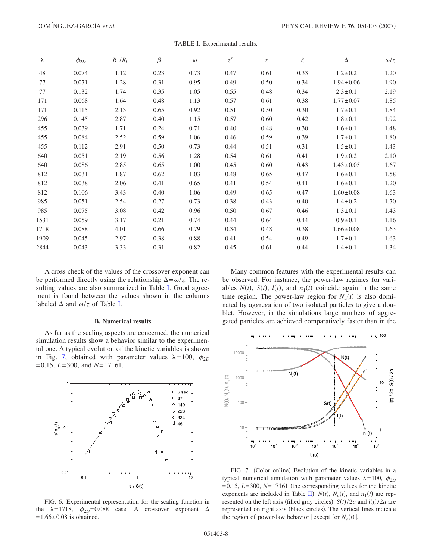<span id="page-7-0"></span>

| $\lambda$ | $\phi_{2D}$ | $R_1/R_0$ | $\beta$ | $\omega$ | $z^\prime$ | $\mathcal{Z}$ | $\xi$ | Δ               | $\omega$ /z |
|-----------|-------------|-----------|---------|----------|------------|---------------|-------|-----------------|-------------|
| 48        | 0.074       | 1.12      | 0.23    | 0.73     | 0.47       | 0.61          | 0.33  | $1.2 \pm 0.2$   | 1.20        |
| 77        | 0.071       | 1.28      | 0.31    | 0.95     | 0.49       | 0.50          | 0.34  | $1.94 \pm 0.06$ | 1.90        |
| 77        | 0.132       | 1.74      | 0.35    | 1.05     | 0.55       | 0.48          | 0.34  | $2.3 \pm 0.1$   | 2.19        |
| 171       | 0.068       | 1.64      | 0.48    | 1.13     | 0.57       | 0.61          | 0.38  | $1.77 \pm 0.07$ | 1.85        |
| 171       | 0.115       | 2.13      | 0.65    | 0.92     | 0.51       | 0.50          | 0.30  | $1.7 \pm 0.1$   | 1.84        |
| 296       | 0.145       | 2.87      | 0.40    | 1.15     | 0.57       | 0.60          | 0.42  | $1.8 \pm 0.1$   | 1.92        |
| 455       | 0.039       | 1.71      | 0.24    | 0.71     | 0.40       | 0.48          | 0.30  | $1.6 \pm 0.1$   | 1.48        |
| 455       | 0.084       | 2.52      | 0.59    | 1.06     | 0.46       | 0.59          | 0.39  | $1.7 \pm 0.1$   | 1.80        |
| 455       | 0.112       | 2.91      | 0.50    | 0.73     | 0.44       | 0.51          | 0.31  | $1.5 \pm 0.1$   | 1.43        |
| 640       | 0.051       | 2.19      | 0.56    | 1.28     | 0.54       | 0.61          | 0.41  | $1.9 \pm 0.2$   | 2.10        |
| 640       | 0.086       | 2.85      | 0.65    | 1.00     | 0.45       | 0.60          | 0.43  | $1.43 \pm 0.05$ | 1.67        |
| 812       | 0.031       | 1.87      | 0.62    | 1.03     | 0.48       | 0.65          | 0.47  | $1.6 \pm 0.1$   | 1.58        |
| 812       | 0.038       | 2.06      | 0.41    | 0.65     | 0.41       | 0.54          | 0.41  | $1.6 \pm 0.1$   | 1.20        |
| 812       | 0.106       | 3.43      | 0.40    | 1.06     | 0.49       | 0.65          | 0.47  | $1.60 \pm 0.08$ | 1.63        |
| 985       | 0.051       | 2.54      | 0.27    | 0.73     | 0.38       | 0.43          | 0.40  | $1.4 \pm 0.2$   | 1.70        |
| 985       | 0.075       | 3.08      | 0.42    | 0.96     | 0.50       | 0.67          | 0.46  | $1.3 \pm 0.1$   | 1.43        |
| 1531      | 0.059       | 3.17      | 0.21    | 0.74     | 0.44       | 0.64          | 0.44  | $0.9 \pm 0.1$   | 1.16        |
| 1718      | 0.088       | 4.01      | 0.66    | 0.79     | 0.34       | 0.48          | 0.38  | $1.66 \pm 0.08$ | 1.63        |
| 1909      | 0.045       | 2.97      | 0.38    | 0.88     | 0.41       | 0.54          | 0.49  | $1.7 \pm 0.1$   | 1.63        |
| 2844      | 0.043       | 3.33      | 0.31    | 0.82     | 0.45       | 0.61          | 0.44  | $1.4 \pm 0.1$   | 1.34        |

TABLE I. Experimental results.

A cross check of the values of the crossover exponent can be performed directly using the relationship  $\Delta = \omega/z$ . The resulting values are also summarized in Table [I.](#page-7-0) Good agreement is found between the values shown in the columns labeled  $\Delta$  and  $\omega/z$  of Table [I.](#page-7-0)

### **B. Numerical results**

As far as the scaling aspects are concerned, the numerical simulation results show a behavior similar to the experimental one. A typical evolution of the kinetic variables is shown in Fig. [7,](#page-7-2) obtained with parameter values  $\lambda = 100$ ,  $\phi_{2D}$ =0.15, *L*=300, and *N*=17161.

<span id="page-7-1"></span>

FIG. 6. Experimental representation for the scaling function in the  $\lambda = 1718$ ,  $\phi_{2D} = 0.088$  case. A crossover exponent  $\Delta$  $=1.66\pm0.08$  is obtained.

Many common features with the experimental results can be observed. For instance, the power-law regimes for variables  $N(t)$ ,  $S(t)$ ,  $l(t)$ , and  $n_1(t)$  coincide again in the same time region. The power-law region for  $N_a(t)$  is also dominated by aggregation of two isolated particles to give a doublet. However, in the simulations large numbers of aggregated particles are achieved comparatively faster than in the

<span id="page-7-2"></span>

FIG. 7. (Color online) Evolution of the kinetic variables in a typical numerical simulation with parameter values  $\lambda = 100$ ,  $\phi_{2D}$  $=0.15$ ,  $L=300$ ,  $N=17161$  (the corresponding values for the kinetic exponents are included in Table [II](#page-8-0)).  $N(t)$ ,  $N_a(t)$ , and  $n_1(t)$  are represented on the left axis (filled gray circles).  $S(t)/2a$  and  $l(t)/2a$  are represented on right axis (black circles). The vertical lines indicate the region of power-law behavior [except for  $N_a(t)$ ].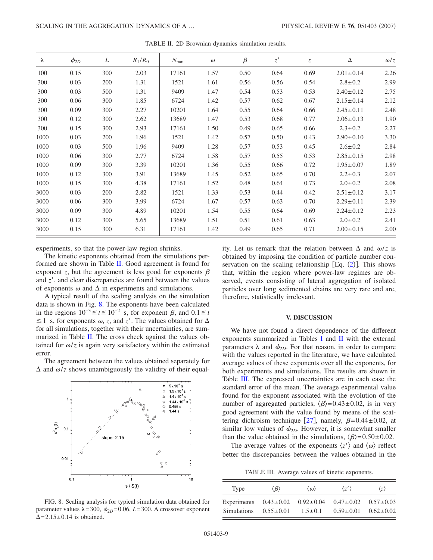<span id="page-8-0"></span>

| $\lambda$ | $\phi_{2D}$ | L   | $R_1/R_0$ | $N_{\text{part}}$ | $\omega$ | $\beta$ | z'   | $\mathcal{Z}$ | Δ               | $\omega$ /z |
|-----------|-------------|-----|-----------|-------------------|----------|---------|------|---------------|-----------------|-------------|
| 100       | 0.15        | 300 | 2.03      | 17161             | 1.57     | 0.50    | 0.64 | 0.69          | $2.01 \pm 0.14$ | 2.26        |
| 300       | 0.03        | 200 | 1.31      | 1521              | 1.61     | 0.56    | 0.56 | 0.54          | $2.8 \pm 0.2$   | 2.99        |
| 300       | 0.03        | 500 | 1.31      | 9409              | 1.47     | 0.54    | 0.53 | 0.53          | $2.40 \pm 0.12$ | 2.75        |
| 300       | 0.06        | 300 | 1.85      | 6724              | 1.42     | 0.57    | 0.62 | 0.67          | $2.15 \pm 0.14$ | 2.12        |
| 300       | 0.09        | 300 | 2.27      | 10201             | 1.64     | 0.55    | 0.64 | 0.66          | $2.45 \pm 0.11$ | 2.48        |
| 300       | 0.12        | 300 | 2.62      | 13689             | 1.47     | 0.53    | 0.68 | 0.77          | $2.06 \pm 0.13$ | 1.90        |
| 300       | 0.15        | 300 | 2.93      | 17161             | 1.50     | 0.49    | 0.65 | 0.66          | $2.3 \pm 0.2$   | 2.27        |
| 1000      | 0.03        | 200 | 1.96      | 1521              | 1.42     | 0.57    | 0.50 | 0.43          | $2.90 \pm 0.10$ | 3.30        |
| 1000      | 0.03        | 500 | 1.96      | 9409              | 1.28     | 0.57    | 0.53 | 0.45          | $2.6 \pm 0.2$   | 2.84        |
| 1000      | 0.06        | 300 | 2.77      | 6724              | 1.58     | 0.57    | 0.55 | 0.53          | $2.85 \pm 0.15$ | 2.98        |
| 1000      | 0.09        | 300 | 3.39      | 10201             | 1.36     | 0.55    | 0.66 | 0.72          | $1.95 \pm 0.07$ | 1.89        |
| 1000      | 0.12        | 300 | 3.91      | 13689             | 1.45     | 0.52    | 0.65 | 0.70          | $2.2 \pm 0.3$   | 2.07        |
| 1000      | 0.15        | 300 | 4.38      | 17161             | 1.52     | 0.48    | 0.64 | 0.73          | $2.0 \pm 0.2$   | 2.08        |
| 3000      | 0.03        | 200 | 2.82      | 1521              | 1.33     | 0.53    | 0.44 | 0.42          | $2.51 \pm 0.12$ | 3.17        |
| 3000      | 0.06        | 300 | 3.99      | 6724              | 1.67     | 0.57    | 0.63 | 0.70          | $2.29 \pm 0.11$ | 2.39        |
| 3000      | 0.09        | 300 | 4.89      | 10201             | 1.54     | 0.55    | 0.64 | 0.69          | $2.24 \pm 0.12$ | 2.23        |
| 3000      | 0.12        | 300 | 5.65      | 13689             | 1.51     | 0.51    | 0.61 | 0.63          | $2.0 \pm 0.2$   | 2.41        |
| 3000      | 0.15        | 300 | 6.31      | 17161             | 1.42     | 0.49    | 0.65 | 0.71          | $2.00 \pm 0.15$ | 2.00        |

TABLE II. 2D Brownian dynamics simulation results.

experiments, so that the power-law region shrinks.

The kinetic exponents obtained from the simulations performed are shown in Table [II.](#page-8-0) Good agreement is found for exponent *z*, but the agreement is less good for exponents  $\beta$ and *z'*, and clear discrepancies are found between the values of exponents  $\omega$  and  $\Delta$  in experiments and simulations.

A typical result of the scaling analysis on the simulation data is shown in Fig. [8.](#page-8-1) The exponents have been calculated in the regions  $10^{-3} \le t \le 10^{-2}$  s, for exponent  $\beta$ , and  $0.1 \le t$  $\leq 1$  s, for exponents  $\omega$ , *z*, and *z'*. The values obtained for  $\Delta$ for all simulations, together with their uncertainties, are sum-marized in Table [II.](#page-8-0) The cross check against the values obtained for  $\omega/z$  is again very satisfactory within the estimated error.

The agreement between the values obtained separately for  $\Delta$  and  $\omega/z$  shows unambiguously the validity of their equal-

<span id="page-8-1"></span>

FIG. 8. Scaling analysis for typical simulation data obtained for parameter values  $\lambda$ =300,  $\phi_{2D}$ =0.06, *L*=300. A crossover exponent  $\Delta$ =2.15±0.14 is obtained.

ity. Let us remark that the relation between  $\Delta$  and  $\omega/z$  is obtained by imposing the condition of particle number conservation on the scaling relationship  $[Eq. (2)]$  $[Eq. (2)]$  $[Eq. (2)]$ . This shows that, within the region where power-law regimes are observed, events consisting of lateral aggregation of isolated particles over long sedimented chains are very rare and are, therefore, statistically irrelevant.

### **V. DISCUSSION**

We have not found a direct dependence of the different exponents summarized in Tables [I](#page-7-0) and [II](#page-8-0) with the external parameters  $\lambda$  and  $\phi_{2D}$ . For that reason, in order to compare with the values reported in the literature, we have calculated average values of these exponents over all the exponents, for both experiments and simulations. The results are shown in Table [III.](#page-8-2) The expressed uncertainties are in each case the standard error of the mean. The average experimental value found for the exponent associated with the evolution of the number of aggregated particles,  $\langle \beta \rangle = 0.43 \pm 0.02$ , is in very good agreement with the value found by means of the scat-tering dichroism technique [[27](#page-12-18)], namely,  $\beta = 0.44 \pm 0.02$ , at similar low values of  $\phi_{2D}$ . However, it is somewhat smaller than the value obtained in the simulations,  $\langle \beta \rangle = 0.50 \pm 0.02$ .

The average values of the exponents  $\langle z' \rangle$  and  $\langle \omega \rangle$  reflect better the discrepancies between the values obtained in the

TABLE III. Average values of kinetic exponents.

<span id="page-8-2"></span>

| Type               | $\langle \beta \rangle$ | $\langle \omega \rangle$ | $\langle z' \rangle$ | $\langle z \rangle$ |
|--------------------|-------------------------|--------------------------|----------------------|---------------------|
| Experiments        | $0.43 \pm 0.02$         | $0.92 \pm 0.04$          | $0.47 \pm 0.02$      | $0.57 \pm 0.03$     |
| <b>Simulations</b> | $0.55 \pm 0.01$         | $1.5 \pm 0.1$            | $0.59 \pm 0.01$      | $0.62 \pm 0.02$     |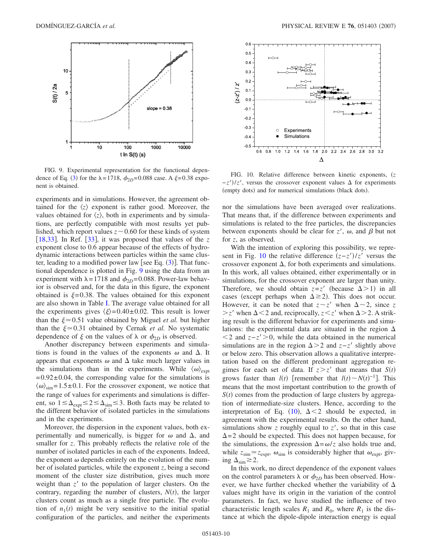<span id="page-9-0"></span>

FIG. 9. Experimental representation for the functional depen-dence of Eq. ([3](#page-1-3)) for the  $\lambda = 1718$ ,  $\phi_{2D} = 0.088$  case. A  $\xi = 0.38$  exponent is obtained.

experiments and in simulations. However, the agreement obtained for the  $\langle z \rangle$  exponent is rather good. Moreover, the values obtained for  $\langle z \rangle$ , both in experiments and by simulations, are perfectly compatible with most results yet published, which report values  $z \sim 0.60$  for these kinds of system [ $18,33$  $18,33$ ]. In Ref. [ $33$ ], it was proposed that values of the *z* exponent close to 0.6 appear because of the effects of hydrodynamic interactions between particles within the same cluster, leading to a modified power law [see Eq.  $(3)$  $(3)$  $(3)$ ]. That functional dependence is plotted in Fig. [9](#page-9-0) using the data from an experiment with  $\lambda = 1718$  and  $\phi_{2D} = 0.088$ . Power-law behavior is observed and, for the data in this figure, the exponent obtained is  $\xi = 0.38$ . The values obtained for this exponent are also shown in Table [I.](#page-7-0) The average value obtained for all the experiments gives  $\langle \xi \rangle = 0.40 \pm 0.02$ . This result is lower than the  $\xi \approx 0.51$  value obtained by Miguel *et al.* but higher than the  $\xi \approx 0.31$  obtained by Cernak *et al.* No systematic dependence of  $\xi$  on the values of  $\lambda$  or  $\phi_{2D}$  is observed.

Another discrepancy between experiments and simulations is found in the values of the exponents  $\omega$  and  $\Delta$ . It appears that exponents  $\omega$  and  $\Delta$  take much larger values in the simulations than in the experiments. While  $\langle \omega \rangle_{\text{expt}}$  $=0.92\pm0.04$ , the corresponding value for the simulations is  $\langle \omega \rangle_{sim}$ =1.5±0.1. For the crossover exponent, we notice that the range of values for experiments and simulations is different, so  $1 \leq \Delta_{\text{expt}} \leq 2 \leq \Delta_{\text{sim}} \leq 3$ . Both facts may be related to the different behavior of isolated particles in the simulations and in the experiments.

Moreover, the dispersion in the exponent values, both experimentally and numerically, is bigger for  $\omega$  and  $\Delta$ , and smaller for *z*. This probably reflects the relative role of the number of isolated particles in each of the exponents. Indeed, the exponent  $\omega$  depends entirely on the evolution of the number of isolated particles, while the exponent *z*, being a second moment of the cluster size distribution, gives much more weight than  $z'$  to the population of larger clusters. On the contrary, regarding the number of clusters,  $N(t)$ , the larger clusters count as much as a single free particle. The evolution of  $n_1(t)$  might be very sensitive to the initial spatial configuration of the particles, and neither the experiments

<span id="page-9-1"></span>

FIG. 10. Relative difference between kinetic exponents, (z  $-z'/\sqrt{z'}$ , versus the crossover exponent values  $\Delta$  for experiments (empty dots) and for numerical simulations (black dots).

nor the simulations have been averaged over realizations. That means that, if the difference between experiments and simulations is related to the free particles, the discrepancies between exponents should be clear for  $z'$ ,  $\omega$ , and  $\beta$  but not for *z*, as observed.

With the intention of exploring this possibility, we repre-sent in Fig. [10](#page-9-1) the relative difference  $(z-z')/z'$  versus the crossover exponent  $\Delta$ , for both experiments and simulations. In this work, all values obtained, either experimentally or in simulations, for the crossover exponent are larger than unity. Therefore, we should obtain  $z=z'$  (because  $\Delta > 1$ ) in all cases (except perhaps when  $\Delta \ge 2$ ). This does not occur. However, it can be noted that  $z \sim z'$  when  $\Delta \sim 2$ , since z  $>$ *z*' when  $\Delta$  < 2 and, reciprocally,  $z \lt z$ ' when  $\Delta$  > 2. A striking result is the different behavior for experiments and simulations: the experimental data are situated in the region  $\Delta$  $\langle 2 \rangle$  and  $z-z' > 0$ , while the data obtained in the numerical simulations are in the region  $\Delta > 2$  and  $z - z'$  slightly above or below zero. This observation allows a qualitative interpretation based on the different predominant aggregation regimes for each set of data. If  $z \geq z'$  that means that  $S(t)$ grows faster than *l*(*t*) [remember that  $l(t) \sim N(t)^{-1}$ ]. This means that the most important contribution to the growth of  $S(t)$  comes from the production of large clusters by aggregation of intermediate-size clusters. Hence, according to the interpretation of Eq. ([10](#page-3-1)),  $\Delta < 2$  should be expected, in agreement with the experimental results. On the other hand, simulations show  $z$  roughly equal to  $z'$ , so that in this case  $\Delta$ =2 should be expected. This does not happen because, for the simulations, the expression  $\Delta = \omega/z$  also holds true and, while  $z_{\text{sim}} \approx z_{\text{expt}}$ ,  $\omega_{\text{sim}}$  is considerably higher that  $\omega_{\text{expt}}$ , giving  $\Delta_{\text{sim}} \geq 2$ .

In this work, no direct dependence of the exponent values on the control parameters  $\lambda$  or  $\phi_{2D}$  has been observed. However, we have further checked whether the variability of  $\Delta$ values might have its origin in the variation of the control parameters. In fact, we have studied the influence of two characteristic length scales  $R_1$  and  $R_0$ , where  $R_1$  is the distance at which the dipole-dipole interaction energy is equal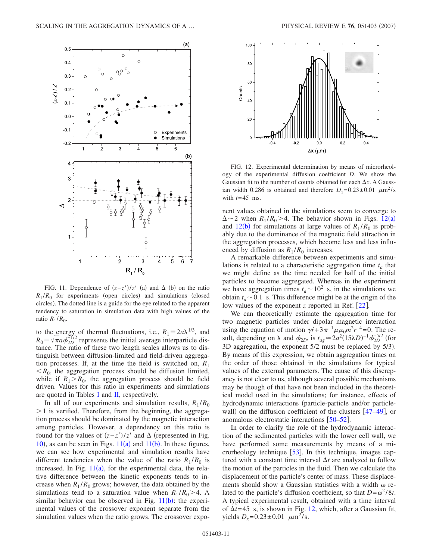<span id="page-10-0"></span>

FIG. 11. Dependence of  $(z-z')/z'$  (a) and  $\Delta$  (b) on the ratio  $R_1/R_0$  for experiments (open circles) and simulations (closed circles). The dotted line is a guide for the eye related to the apparent tendency to saturation in simulation data with high values of the ratio  $R_1 / R_0$ .

to the energy of thermal fluctuations, i.e.,  $R_1 = 2a\lambda^{1/3}$ , and  $R_0 = \sqrt{\pi a} \phi_{2D}^{-1/2}$  represents the initial average interparticle distance. The ratio of these two length scales allows us to distinguish between diffusion-limited and field-driven aggregation processes. If, at the time the field is switched on,  $R_1$  $\langle R_0, \rangle$  the aggregation process should be diffusion limited, while if  $R_1 > R_0$ , the aggregation process should be field driven. Values for this ratio in experiments and simulations are quoted in Tables [I](#page-7-0) and [II,](#page-8-0) respectively.

In all of our experiments and simulation results,  $R_1/R_0$  $>1$  is verified. Therefore, from the beginning, the aggregation process should be dominated by the magnetic interaction among particles. However, a dependency on this ratio is found for the values of  $(z-z')/z'$  and  $\Delta$  (represented in Fig. [10](#page-9-1)), as can be seen in Figs.  $11(a)$  $11(a)$  and  $11(b)$ . In these figures, we can see how experimental and simulation results have different tendencies when the value of the ratio  $R_1/R_0$  is increased. In Fig.  $11(a)$  $11(a)$ , for the experimental data, the relative difference between the kinetic exponents tends to increase when  $R_1/R_0$  grows; however, the data obtained by the simulations tend to a saturation value when  $R_1 / R_0$  > 4. A similar behavior can be observed in Fig.  $11(b)$  $11(b)$ : the experimental values of the crossover exponent separate from the simulation values when the ratio grows. The crossover expo-

<span id="page-10-1"></span>

FIG. 12. Experimental determination by means of microrheology of the experimental diffusion coefficient *D*. We show the Gaussian fit to the number of counts obtained for each  $\Delta x$ . A Gaussian width 0.286 is obtained and therefore  $D_x=0.23\pm0.01 \ \mu m^2/s$ with  $t=45$  ms.

nent values obtained in the simulations seem to converge to  $\Delta \sim 2$  when  $R_1 / R_0 > 4$ . The behavior shown in Figs. [12](#page-10-1)(a) and [12](#page-10-1)(b) for simulations at large values of  $R_1/R_0$  is probably due to the dominance of the magnetic field attraction in the aggregation processes, which become less and less influenced by diffusion as  $R_1/R_0$  increases.

A remarkable difference between experiments and simulations is related to a characteristic aggregation time  $t_a$  that we might define as the time needed for half of the initial particles to become aggregated. Whereas in the experiment we have aggregation times  $t_a \sim 10^2$  s, in the simulations we obtain  $t_a \sim 0.1$  s. This difference might be at the origin of the low values of the exponent *z* reported in Ref.  $|22|$  $|22|$  $|22|$ .

We can theoretically estimate the aggregation time for two magnetic particles under dipolar magnetic interaction using the equation of motion  $\gamma r + 3\pi^{-1} \mu \mu_0 m^2 r^{-4} = 0$ . The result, depending on  $\lambda$  and  $\phi_{2D}$ , is  $t_{ag} \approx 2a^2 (15 \lambda D)^{-1} \phi_{2D}^{-5/2}$  (for 3D aggregation, the exponent 5/2 must be replaced by 5/3). By means of this expression, we obtain aggregation times on the order of those obtained in the simulations for typical values of the external parameters. The cause of this discrepancy is not clear to us, although several possible mechanisms may be though of that have not been included in the theoretical model used in the simulations; for instance, effects of hydrodynamic interactions (particle-particle and/or particle-wall) on the diffusion coefficient of the clusters [[47–](#page-12-41)[49](#page-12-42)], or anomalous electrostatic interactions  $\lceil 50-52 \rceil$  $\lceil 50-52 \rceil$  $\lceil 50-52 \rceil$ .

In order to clarify the role of the hydrodynamic interaction of the sedimented particles with the lower cell wall, we have performed some measurements by means of a microrheology technique  $[53]$  $[53]$  $[53]$ . In this technique, images captured with a constant time interval  $\Delta t$  are analyzed to follow the motion of the particles in the fluid. Then we calculate the displacement of the particle's center of mass. These displacements should show a Gaussian statistics with a width  $\omega$  related to the particle's diffusion coefficient, so that  $D = \omega^2 / 8t$ . A typical experimental result, obtained with a time interval of  $\Delta t$ =45 s, is shown in Fig. [12,](#page-10-1) which, after a Gaussian fit, yields  $D_x = 0.23 \pm 0.01$   $\mu$ m<sup>2</sup>/s.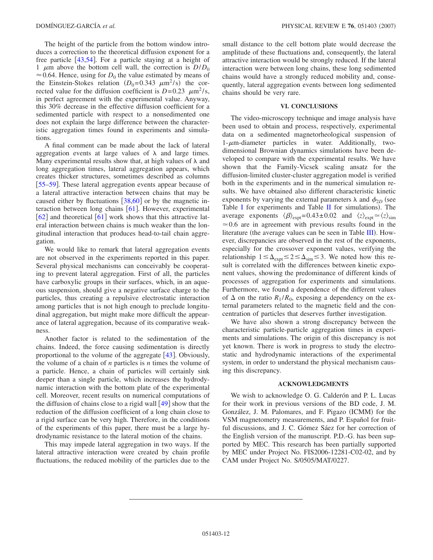The height of the particle from the bottom window introduces a correction to the theoretical diffusion exponent for a free particle  $[43,54]$  $[43,54]$  $[43,54]$  $[43,54]$ . For a particle staying at a height of 1  $\mu$ m above the bottom cell wall, the correction is  $D/D_0$  $\approx$  0.64. Hence, using for  $D_0$  the value estimated by means of the Einstein-Stokes relation  $(D_0=0.343 \ \mu \text{m}^2/\text{s})$  the corrected value for the diffusion coefficient is  $D=0.23 \mu m^2/s$ , in perfect agreement with the experimental value. Anyway, this 30% decrease in the effective diffusion coefficient for a sedimented particle with respect to a nonsedimented one does not explain the large difference between the characteristic aggregation times found in experiments and simulations.

A final comment can be made about the lack of lateral aggregation events at large values of  $\lambda$  and large times. Many experimental results show that, at high values of  $\lambda$  and long aggregation times, lateral aggregation appears, which creates thicker structures, sometimes described as columns [[55](#page-12-47)[–59](#page-12-48)]. These lateral aggregation events appear because of a lateral attractive interaction between chains that may be caused either by fluctuations  $[38,60]$  $[38,60]$  $[38,60]$  $[38,60]$  or by the magnetic interaction between long chains  $\lceil 61 \rceil$  $\lceil 61 \rceil$  $\lceil 61 \rceil$ . However, experimental  $\left[62\right]$  $\left[62\right]$  $\left[62\right]$  and theoretical  $\left[61\right]$  $\left[61\right]$  $\left[61\right]$  work shows that this attractive lateral interaction between chains is much weaker than the longitudinal interaction that produces head-to-tail chain aggregation.

We would like to remark that lateral aggregation events are not observed in the experiments reported in this paper. Several physical mechanisms can conceivably be cooperating to prevent lateral aggregation. First of all, the particles have carboxylic groups in their surfaces, which, in an aqueous suspension, should give a negative surface charge to the particles, thus creating a repulsive electrostatic interaction among particles that is not high enough to preclude longitudinal aggregation, but might make more difficult the appearance of lateral aggregation, because of its comparative weakness.

Another factor is related to the sedimentation of the chains. Indeed, the force causing sedimentation is directly proportional to the volume of the aggregate  $[43]$  $[43]$  $[43]$ . Obviously, the volume of a chain of *n* particles is *n* times the volume of a particle. Hence, a chain of particles will certainly sink deeper than a single particle, which increases the hydrodynamic interaction with the bottom plate of the experimental cell. Moreover, recent results on numerical computations of the diffusion of chains close to a rigid wall  $[49]$  $[49]$  $[49]$  show that the reduction of the diffusion coefficient of a long chain close to a rigid surface can be very high. Therefore, in the conditions of the experiments of this paper, there must be a large hydrodynamic resistance to the lateral motion of the chains.

This may impede lateral aggregation in two ways. If the lateral attractive interaction were created by chain profile fluctuations, the reduced mobility of the particles due to the small distance to the cell bottom plate would decrease the amplitude of these fluctuations and, consequently, the lateral attractive interaction would be strongly reduced. If the lateral interaction were between long chains, these long sedimented chains would have a strongly reduced mobility and, consequently, lateral aggregation events between long sedimented chains should be very rare.

## **VI. CONCLUSIONS**

The video-microscopy technique and image analysis have been used to obtain and process, respectively, experimental data on a sedimented magnetorheological suspension of  $1-\mu$ m-diameter particles in water. Additionally, twodimensional Brownian dynamics simulations have been developed to compare with the experimental results. We have shown that the Family-Vicsek scaling ansatz for the diffusion-limited cluster-cluster aggregation model is verified both in the experiments and in the numerical simulation results. We have obtained also different characteristic kinetic exponents by varying the external parameters  $\lambda$  and  $\phi_{2D}$  (see Table [I](#page-7-0) for experiments and Table [II](#page-8-0) for simulations). The average exponents  $\langle \beta \rangle_{\text{expt}} = 0.43 \pm 0.02$  and  $\langle z \rangle_{\text{expt}} \approx \langle z \rangle_{\text{sim}}$  $\approx 0.6$  are in agreement with previous results found in the literature (the average values can be seen in Table [III](#page-8-2)). However, discrepancies are observed in the rest of the exponents, especially for the crossover exponent values, verifying the relationship  $1 \leq \Delta_{\text{expt}} \leq 2 \leq \Delta_{\text{sim}} \leq 3$ . We noted how this result is correlated with the differences between kinetic exponent values, showing the predominance of different kinds of processes of aggregation for experiments and simulations. Furthermore, we found a dependence of the different values of  $\Delta$  on the ratio  $R_1/R_0$ , exposing a dependency on the external parameters related to the magnetic field and the concentration of particles that deserves further investigation.

We have also shown a strong discrepancy between the characteristic particle-particle aggregation times in experiments and simulations. The origin of this discrepancy is not yet known. There is work in progress to study the electrostatic and hydrodynamic interactions of the experimental system, in order to understand the physical mechanism causing this discrepancy.

### **ACKNOWLEDGMENTS**

We wish to acknowledge O. G. Calderón and P. L. Lucas for their work in previous versions of the BD code, J. M. González, J. M. Palomares, and F. Pigazo (ICMM) for the VSM magnetometry measurements, and P. Español for fruitful discussions, and J. C. Gómez Sáez for her correction of the English version of the manuscript. P.D.-G. has been supported by MEC. This research has been partially supported by MEC under Project No. FIS2006-12281-C02-02, and by CAM under Project No. S/0505/MAT/0227.